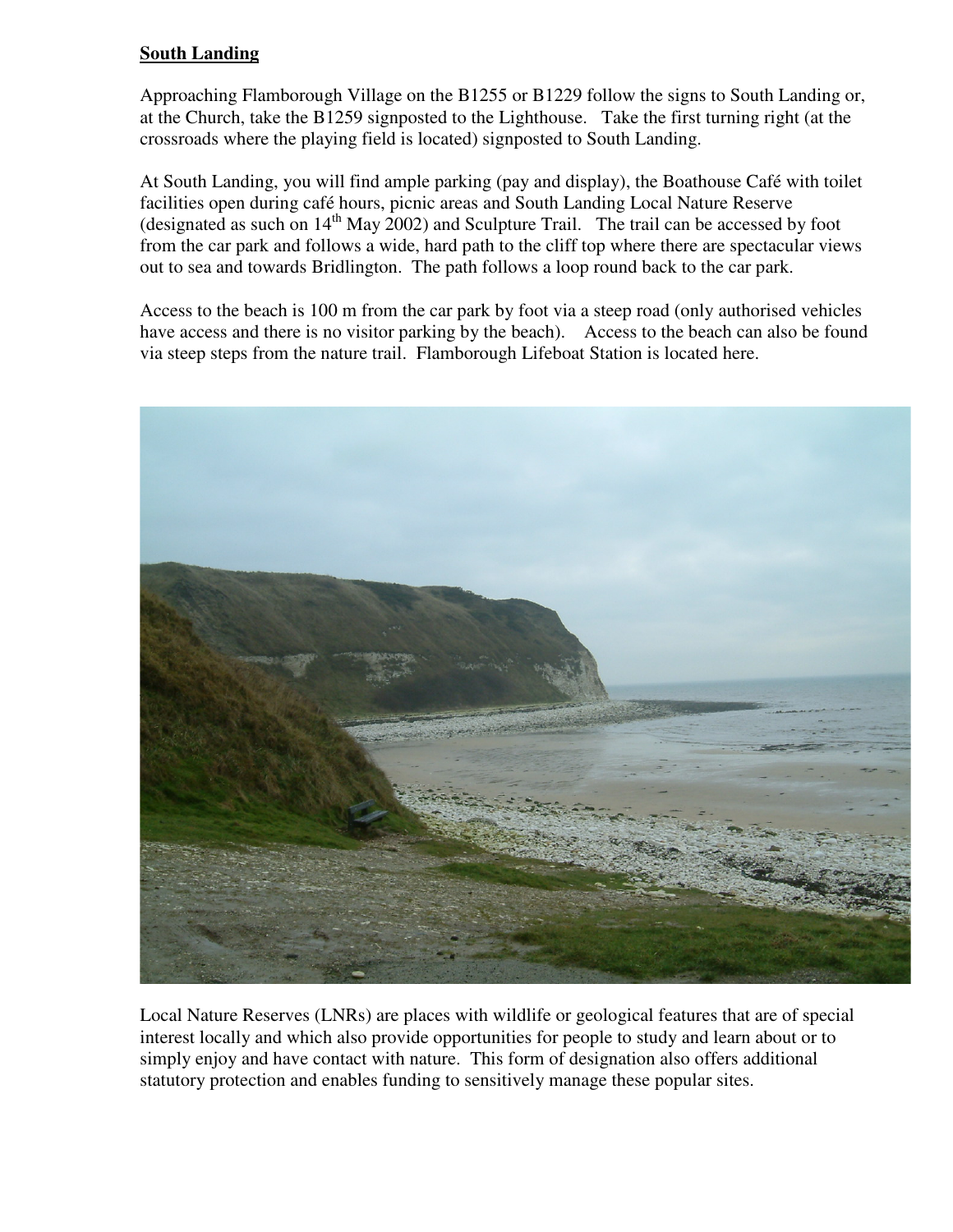## **South Landing**

Approaching Flamborough Village on the B1255 or B1229 follow the signs to South Landing or, at the Church, take the B1259 signposted to the Lighthouse. Take the first turning right (at the crossroads where the playing field is located) signposted to South Landing.

At South Landing, you will find ample parking (pay and display), the Boathouse Café with toilet facilities open during café hours, picnic areas and South Landing Local Nature Reserve (designated as such on  $14<sup>th</sup>$  May 2002) and Sculpture Trail. The trail can be accessed by foot from the car park and follows a wide, hard path to the cliff top where there are spectacular views out to sea and towards Bridlington. The path follows a loop round back to the car park.

Access to the beach is 100 m from the car park by foot via a steep road (only authorised vehicles have access and there is no visitor parking by the beach). Access to the beach can also be found via steep steps from the nature trail. Flamborough Lifeboat Station is located here.



Local Nature Reserves (LNRs) are places with wildlife or geological features that are of special interest locally and which also provide opportunities for people to study and learn about or to simply enjoy and have contact with nature. This form of designation also offers additional statutory protection and enables funding to sensitively manage these popular sites.